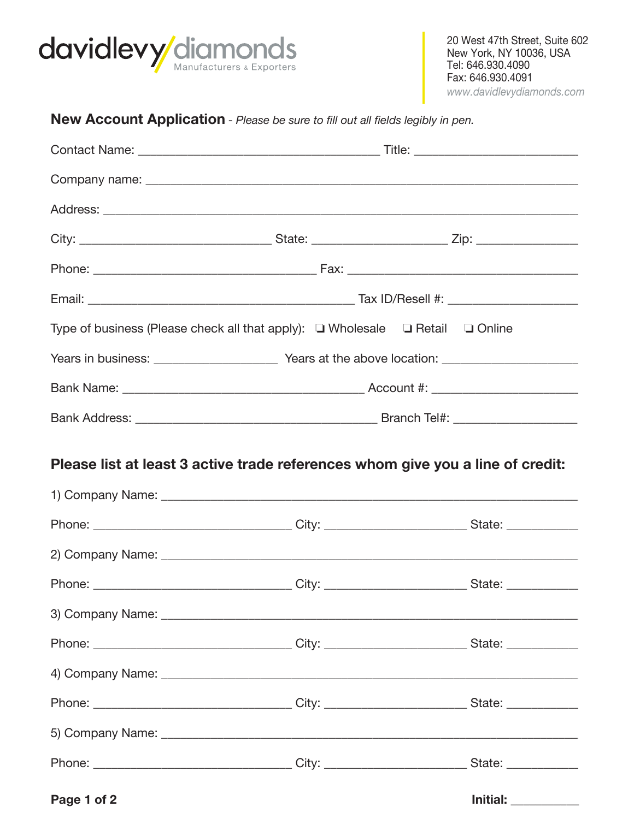

## New Account Application - Please be sure to fill out all fields legibly in pen.

| Type of business (Please check all that apply): $\Box$ Wholesale $\Box$ Retail $\Box$ Online |  |                            |
|----------------------------------------------------------------------------------------------|--|----------------------------|
|                                                                                              |  |                            |
|                                                                                              |  |                            |
|                                                                                              |  |                            |
| Please list at least 3 active trade references whom give you a line of credit:               |  |                            |
|                                                                                              |  |                            |
|                                                                                              |  |                            |
|                                                                                              |  |                            |
|                                                                                              |  |                            |
|                                                                                              |  |                            |
|                                                                                              |  |                            |
|                                                                                              |  |                            |
|                                                                                              |  |                            |
|                                                                                              |  |                            |
|                                                                                              |  |                            |
| Page 1 of 2                                                                                  |  | <b>Initial:</b> __________ |